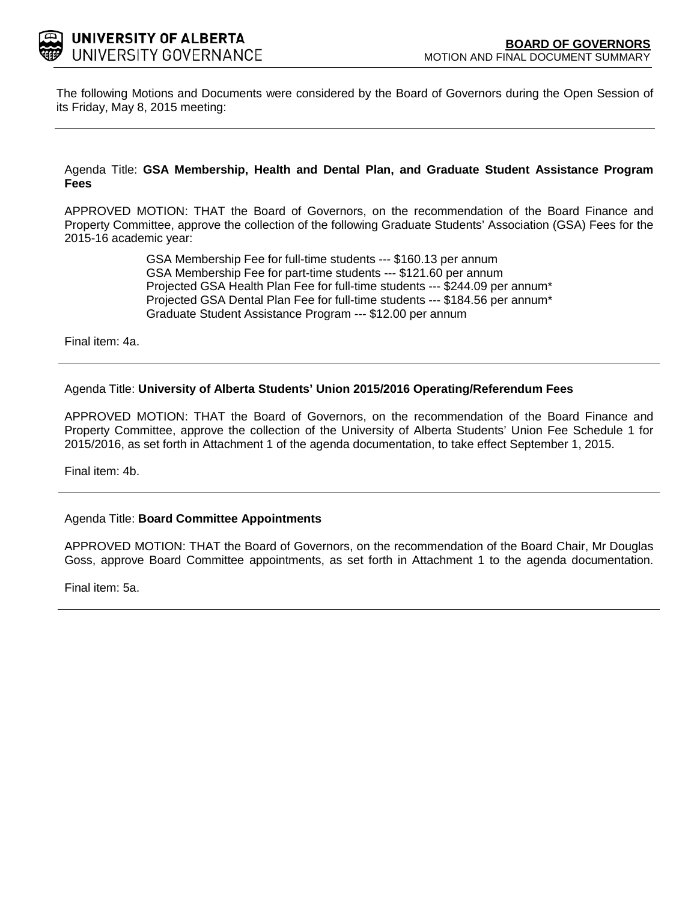

The following Motions and Documents were considered by the Board of Governors during the Open Session of its Friday, May 8, 2015 meeting:

Agenda Title: **GSA Membership, Health and Dental Plan, and Graduate Student Assistance Program Fees**

APPROVED MOTION: THAT the Board of Governors, on the recommendation of the Board Finance and Property Committee, approve the collection of the following Graduate Students' Association (GSA) Fees for the 2015-16 academic year:

> GSA Membership Fee for full-time students --- \$160.13 per annum GSA Membership Fee for part-time students --- \$121.60 per annum Projected GSA Health Plan Fee for full-time students --- \$244.09 per annum\* Projected GSA Dental Plan Fee for full-time students --- \$184.56 per annum\* Graduate Student Assistance Program --- \$12.00 per annum

Final item: [4a.](#page-1-0)

### Agenda Title: **University of Alberta Students' Union 2015/2016 Operating/Referendum Fees**

APPROVED MOTION: THAT the Board of Governors, on the recommendation of the Board Finance and Property Committee, approve the collection of the University of Alberta Students' Union Fee Schedule 1 for 2015/2016, as set forth in Attachment 1 of the agenda documentation, to take effect September 1, 2015.

Final item: [4b.](#page-6-0)

### Agenda Title: **Board Committee Appointments**

APPROVED MOTION: THAT the Board of Governors, on the recommendation of the Board Chair, Mr Douglas Goss, approve Board Committee appointments, as set forth in Attachment 1 to the agenda documentation.

Final item: [5a.](#page-12-0)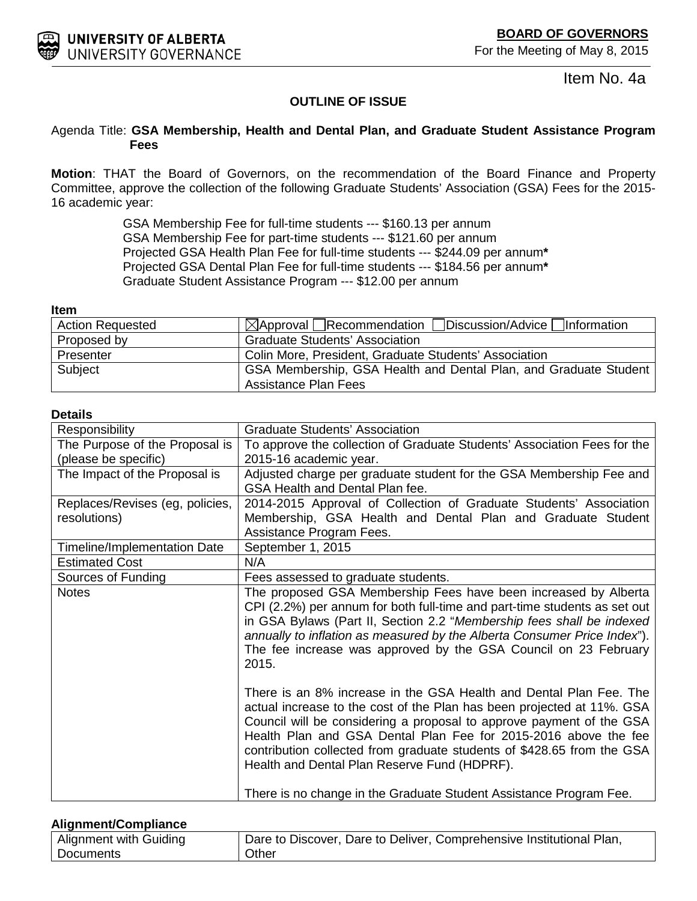<span id="page-1-0"></span>

Item No. 4a

## **OUTLINE OF ISSUE**

### Agenda Title: **GSA Membership, Health and Dental Plan, and Graduate Student Assistance Program Fees**

**Motion**: THAT the Board of Governors, on the recommendation of the Board Finance and Property Committee, approve the collection of the following Graduate Students' Association (GSA) Fees for the 2015- 16 academic year:

> GSA Membership Fee for full-time students --- \$160.13 per annum GSA Membership Fee for part-time students --- \$121.60 per annum Projected GSA Health Plan Fee for full-time students --- \$244.09 per annum**\*** Projected GSA Dental Plan Fee for full-time students --- \$184.56 per annum**\*** Graduate Student Assistance Program --- \$12.00 per annum

#### **Item**

| <b>Action Requested</b> | $\boxtimes$ Approval Recommendation Discussion/Advice Information |  |
|-------------------------|-------------------------------------------------------------------|--|
| Proposed by             | <b>Graduate Students' Association</b>                             |  |
| Presenter               | Colin More, President, Graduate Students' Association             |  |
| Subject                 | GSA Membership, GSA Health and Dental Plan, and Graduate Student  |  |
|                         | Assistance Plan Fees                                              |  |

### **Details**

| Responsibility                  | <b>Graduate Students' Association</b>                                                                                                                                                                                                                                                                                                                                                                             |  |
|---------------------------------|-------------------------------------------------------------------------------------------------------------------------------------------------------------------------------------------------------------------------------------------------------------------------------------------------------------------------------------------------------------------------------------------------------------------|--|
| The Purpose of the Proposal is  | To approve the collection of Graduate Students' Association Fees for the                                                                                                                                                                                                                                                                                                                                          |  |
| (please be specific)            | 2015-16 academic year.                                                                                                                                                                                                                                                                                                                                                                                            |  |
| The Impact of the Proposal is   | Adjusted charge per graduate student for the GSA Membership Fee and                                                                                                                                                                                                                                                                                                                                               |  |
|                                 | GSA Health and Dental Plan fee.                                                                                                                                                                                                                                                                                                                                                                                   |  |
| Replaces/Revises (eg, policies, | 2014-2015 Approval of Collection of Graduate Students' Association                                                                                                                                                                                                                                                                                                                                                |  |
| resolutions)                    | Membership, GSA Health and Dental Plan and Graduate Student                                                                                                                                                                                                                                                                                                                                                       |  |
|                                 | Assistance Program Fees.                                                                                                                                                                                                                                                                                                                                                                                          |  |
| Timeline/Implementation Date    | September 1, 2015                                                                                                                                                                                                                                                                                                                                                                                                 |  |
| <b>Estimated Cost</b>           | N/A                                                                                                                                                                                                                                                                                                                                                                                                               |  |
| Sources of Funding              | Fees assessed to graduate students.                                                                                                                                                                                                                                                                                                                                                                               |  |
| <b>Notes</b>                    | The proposed GSA Membership Fees have been increased by Alberta<br>CPI (2.2%) per annum for both full-time and part-time students as set out<br>in GSA Bylaws (Part II, Section 2.2 "Membership fees shall be indexed<br>annually to inflation as measured by the Alberta Consumer Price Index").<br>The fee increase was approved by the GSA Council on 23 February<br>2015.                                     |  |
|                                 | There is an 8% increase in the GSA Health and Dental Plan Fee. The<br>actual increase to the cost of the Plan has been projected at 11%. GSA<br>Council will be considering a proposal to approve payment of the GSA<br>Health Plan and GSA Dental Plan Fee for 2015-2016 above the fee<br>contribution collected from graduate students of \$428.65 from the GSA<br>Health and Dental Plan Reserve Fund (HDPRF). |  |
|                                 | There is no change in the Graduate Student Assistance Program Fee.                                                                                                                                                                                                                                                                                                                                                |  |

### **Alignment/Compliance**

| Alignment with Guiding | Dare to Discover, Dare to Deliver, Comprehensive Institutional Plan, |
|------------------------|----------------------------------------------------------------------|
| Documents              | Other                                                                |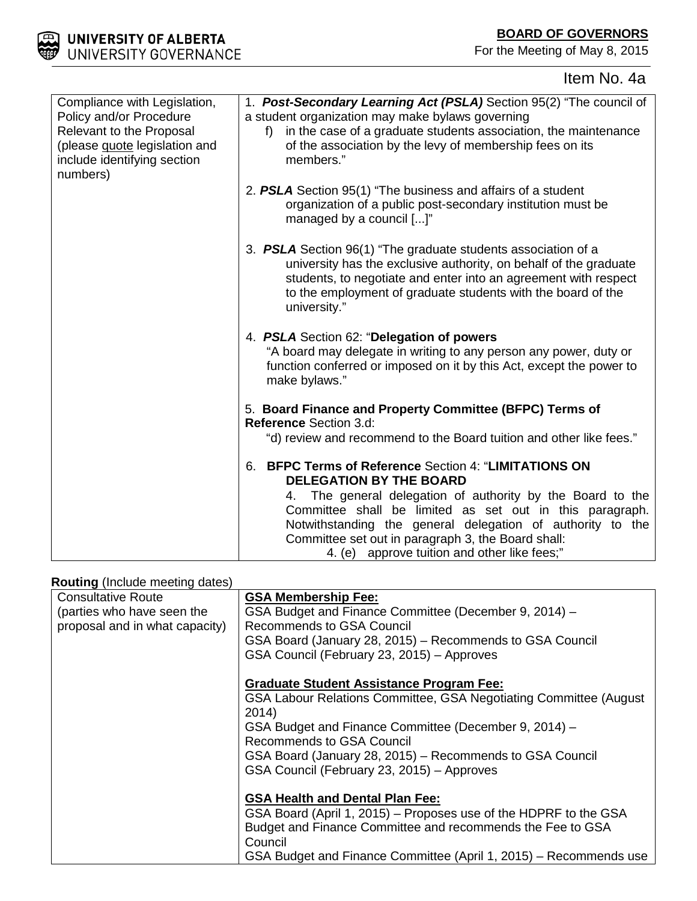## **BOARD OF GOVERNORS**

For the Meeting of May 8, 2015



# Item No. 4a

| Compliance with Legislation,<br>Policy and/or Procedure<br>Relevant to the Proposal<br>(please <b>quote</b> legislation and<br>include identifying section<br>numbers) | 1. Post-Secondary Learning Act (PSLA) Section 95(2) "The council of<br>a student organization may make bylaws governing<br>in the case of a graduate students association, the maintenance<br>f)<br>of the association by the levy of membership fees on its<br>members."                                                                                                                       |
|------------------------------------------------------------------------------------------------------------------------------------------------------------------------|-------------------------------------------------------------------------------------------------------------------------------------------------------------------------------------------------------------------------------------------------------------------------------------------------------------------------------------------------------------------------------------------------|
|                                                                                                                                                                        | 2. PSLA Section 95(1) "The business and affairs of a student<br>organization of a public post-secondary institution must be<br>managed by a council []"                                                                                                                                                                                                                                         |
|                                                                                                                                                                        | 3. PSLA Section 96(1) "The graduate students association of a<br>university has the exclusive authority, on behalf of the graduate<br>students, to negotiate and enter into an agreement with respect<br>to the employment of graduate students with the board of the<br>university."                                                                                                           |
|                                                                                                                                                                        | 4. PSLA Section 62: "Delegation of powers<br>"A board may delegate in writing to any person any power, duty or<br>function conferred or imposed on it by this Act, except the power to<br>make bylaws."                                                                                                                                                                                         |
|                                                                                                                                                                        | 5. Board Finance and Property Committee (BFPC) Terms of<br><b>Reference Section 3.d:</b>                                                                                                                                                                                                                                                                                                        |
|                                                                                                                                                                        | "d) review and recommend to the Board tuition and other like fees."                                                                                                                                                                                                                                                                                                                             |
|                                                                                                                                                                        | <b>BFPC Terms of Reference Section 4: "LIMITATIONS ON</b><br>6.<br><b>DELEGATION BY THE BOARD</b><br>4. The general delegation of authority by the Board to the<br>Committee shall be limited as set out in this paragraph.<br>Notwithstanding the general delegation of authority to the<br>Committee set out in paragraph 3, the Board shall:<br>4. (e) approve tuition and other like fees;" |

## **Routing** (Include meeting dates)

| <b>Consultative Route</b>      | <b>GSA Membership Fee:</b>                                        |  |
|--------------------------------|-------------------------------------------------------------------|--|
| (parties who have seen the     | GSA Budget and Finance Committee (December 9, 2014) -             |  |
| proposal and in what capacity) | <b>Recommends to GSA Council</b>                                  |  |
|                                | GSA Board (January 28, 2015) – Recommends to GSA Council          |  |
|                                | GSA Council (February 23, 2015) - Approves                        |  |
|                                | <b>Graduate Student Assistance Program Fee:</b>                   |  |
|                                | GSA Labour Relations Committee, GSA Negotiating Committee (August |  |
|                                | 2014)                                                             |  |
|                                | GSA Budget and Finance Committee (December 9, 2014) -             |  |
|                                | Recommends to GSA Council                                         |  |
|                                | GSA Board (January 28, 2015) – Recommends to GSA Council          |  |
|                                | GSA Council (February 23, 2015) - Approves                        |  |
|                                |                                                                   |  |
|                                | <b>GSA Health and Dental Plan Fee:</b>                            |  |
|                                | GSA Board (April 1, 2015) – Proposes use of the HDPRF to the GSA  |  |
|                                | Budget and Finance Committee and recommends the Fee to GSA        |  |
|                                | Council                                                           |  |
|                                | GSA Budget and Finance Committee (April 1, 2015) – Recommends use |  |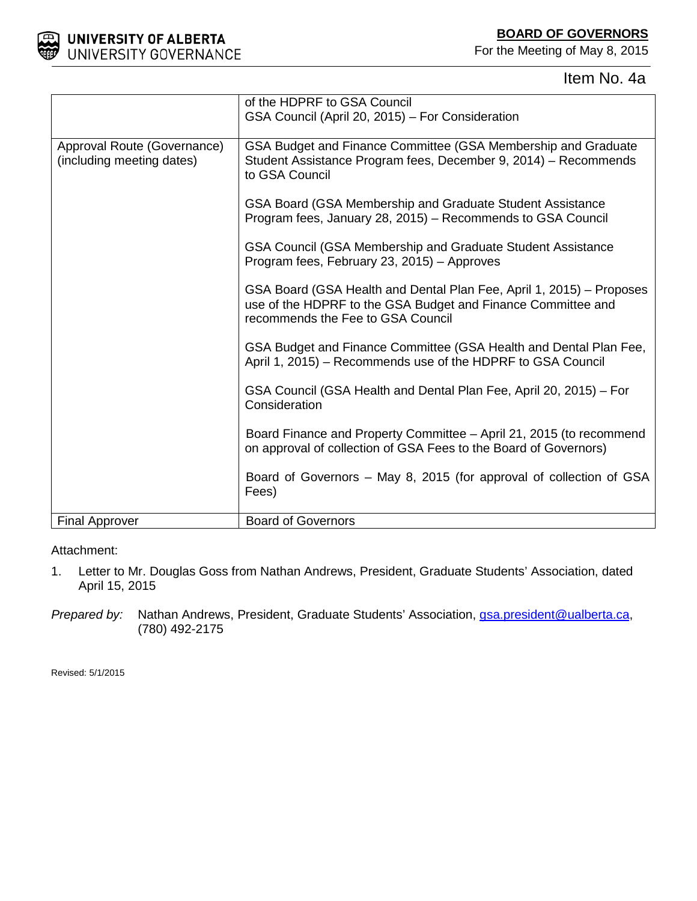



Item No. 4a

|                                                          | of the HDPRF to GSA Council<br>GSA Council (April 20, 2015) - For Consideration                                                                                           |
|----------------------------------------------------------|---------------------------------------------------------------------------------------------------------------------------------------------------------------------------|
| Approval Route (Governance)<br>(including meeting dates) | GSA Budget and Finance Committee (GSA Membership and Graduate<br>Student Assistance Program fees, December 9, 2014) - Recommends<br>to GSA Council                        |
|                                                          | GSA Board (GSA Membership and Graduate Student Assistance<br>Program fees, January 28, 2015) - Recommends to GSA Council                                                  |
|                                                          | GSA Council (GSA Membership and Graduate Student Assistance<br>Program fees, February 23, 2015) - Approves                                                                |
|                                                          | GSA Board (GSA Health and Dental Plan Fee, April 1, 2015) – Proposes<br>use of the HDPRF to the GSA Budget and Finance Committee and<br>recommends the Fee to GSA Council |
|                                                          | GSA Budget and Finance Committee (GSA Health and Dental Plan Fee,<br>April 1, 2015) - Recommends use of the HDPRF to GSA Council                                          |
|                                                          | GSA Council (GSA Health and Dental Plan Fee, April 20, 2015) - For<br>Consideration                                                                                       |
|                                                          | Board Finance and Property Committee – April 21, 2015 (to recommend<br>on approval of collection of GSA Fees to the Board of Governors)                                   |
|                                                          | Board of Governors - May 8, 2015 (for approval of collection of GSA<br>Fees)                                                                                              |
| <b>Final Approver</b>                                    | <b>Board of Governors</b>                                                                                                                                                 |

Attachment:

- 1. Letter to Mr. Douglas Goss from Nathan Andrews, President, Graduate Students' Association, dated April 15, 2015
- *Prepared by:* Nathan Andrews, President, Graduate Students' Association, *gsa.president@ualberta.ca,* (780) 492-2175

Revised: 5/1/2015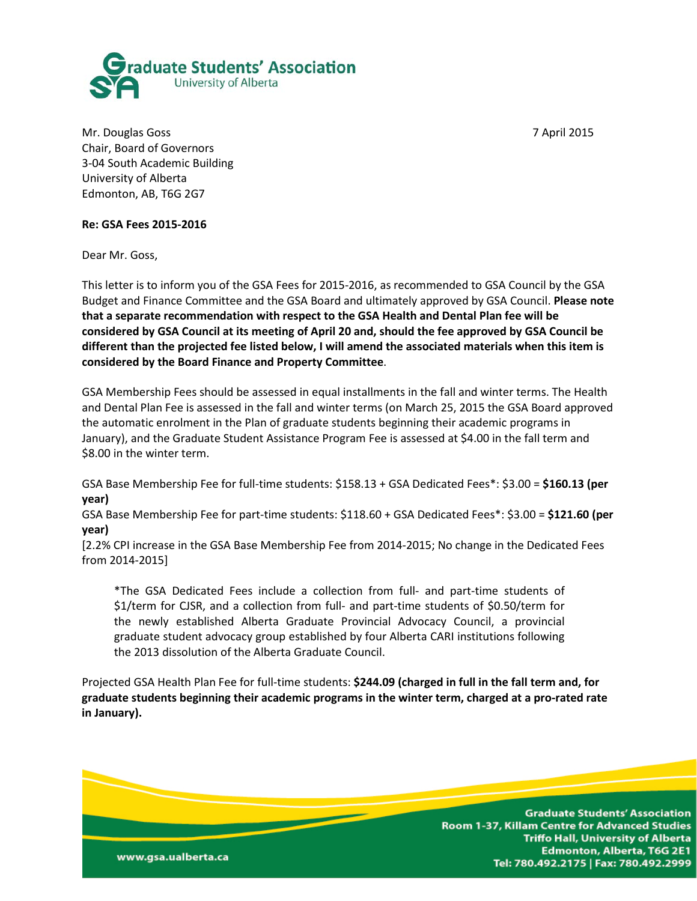

Mr. Douglas Goss 7 April 2015 Chair, Board of Governors 3-04 South Academic Building University of Alberta Edmonton, AB, T6G 2G7

www.gsa.ualberta.ca

### **Re: GSA Fees 2015-2016**

Dear Mr. Goss,

This letter is to inform you of the GSA Fees for 2015-2016, as recommended to GSA Council by the GSA Budget and Finance Committee and the GSA Board and ultimately approved by GSA Council. **Please note that a separate recommendation with respect to the GSA Health and Dental Plan fee will be considered by GSA Council at its meeting of April 20 and, should the fee approved by GSA Council be different than the projected fee listed below, I will amend the associated materials when this item is considered by the Board Finance and Property Committee**.

GSA Membership Fees should be assessed in equal installments in the fall and winter terms. The Health and Dental Plan Fee is assessed in the fall and winter terms (on March 25, 2015 the GSA Board approved the automatic enrolment in the Plan of graduate students beginning their academic programs in January), and the Graduate Student Assistance Program Fee is assessed at \$4.00 in the fall term and \$8.00 in the winter term.

GSA Base Membership Fee for full-time students: \$158.13 + GSA Dedicated Fees\*: \$3.00 = **\$160.13 (per year)**

GSA Base Membership Fee for part-time students: \$118.60 + GSA Dedicated Fees\*: \$3.00 = **\$121.60 (per year)**

[2.2% CPI increase in the GSA Base Membership Fee from 2014-2015; No change in the Dedicated Fees from 2014-2015]

\*The GSA Dedicated Fees include a collection from full- and part-time students of \$1/term for CJSR, and a collection from full- and part-time students of \$0.50/term for the newly established Alberta Graduate Provincial Advocacy Council, a provincial graduate student advocacy group established by four Alberta CARI institutions following the 2013 dissolution of the Alberta Graduate Council.

Projected GSA Health Plan Fee for full-time students: **\$244.09 (charged in full in the fall term and, for graduate students beginning their academic programs in the winter term, charged at a pro-rated rate in January).**

> **Graduate Students' Association** Room 1-37, Killam Centre for Advanced Studies **Triffo Hall, University of Alberta** Edmonton, Alberta, T6G 2E1 Tel: 780.492.2175 | Fax: 780.492.2999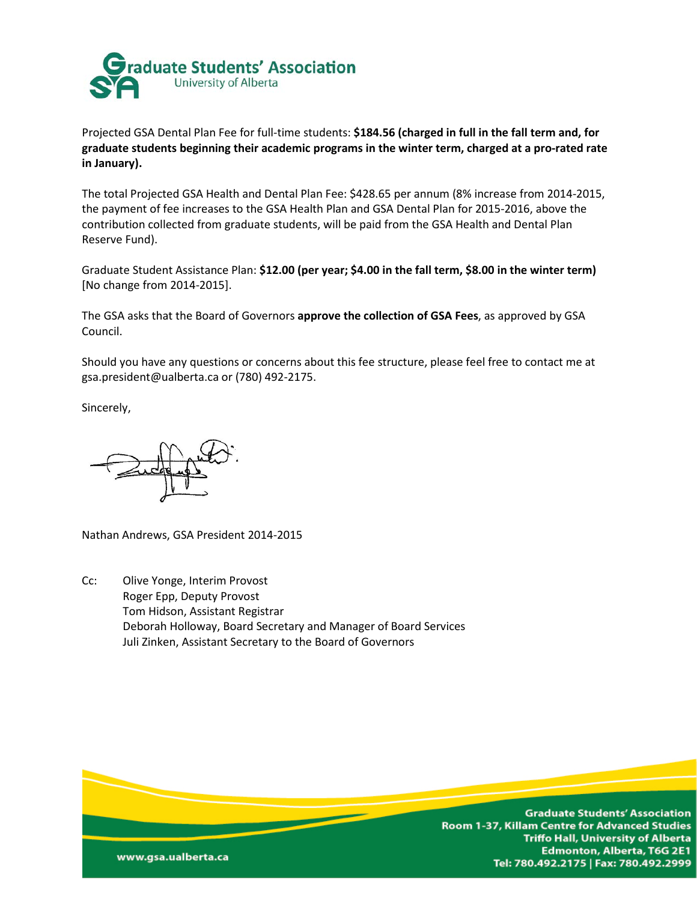

Projected GSA Dental Plan Fee for full-time students: **\$184.56 (charged in full in the fall term and, for graduate students beginning their academic programs in the winter term, charged at a pro-rated rate in January).**

The total Projected GSA Health and Dental Plan Fee: \$428.65 per annum (8% increase from 2014-2015, the payment of fee increases to the GSA Health Plan and GSA Dental Plan for 2015-2016, above the contribution collected from graduate students, will be paid from the GSA Health and Dental Plan Reserve Fund).

Graduate Student Assistance Plan: **\$12.00 (per year; \$4.00 in the fall term, \$8.00 in the winter term)** [No change from 2014-2015].

The GSA asks that the Board of Governors **approve the collection of GSA Fees**, as approved by GSA Council.

Should you have any questions or concerns about this fee structure, please feel free to contact me at gsa.president@ualberta.ca or (780) 492-2175.

Sincerely,

Nathan Andrews, GSA President 2014-2015

Cc: Olive Yonge, Interim Provost Roger Epp, Deputy Provost Tom Hidson, Assistant Registrar Deborah Holloway, Board Secretary and Manager of Board Services Juli Zinken, Assistant Secretary to the Board of Governors

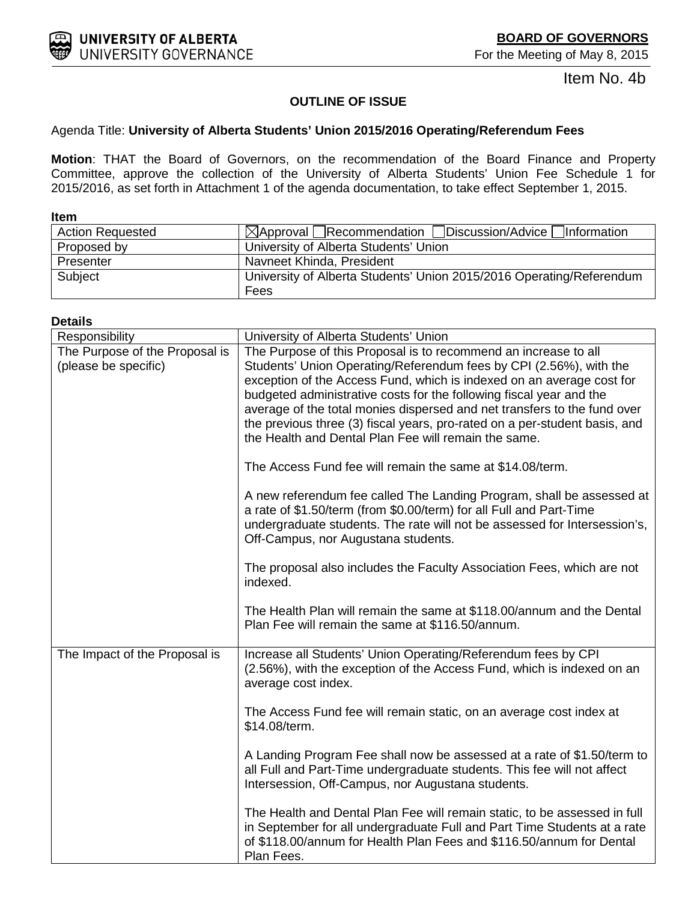Item No. 4b

## **OUTLINE OF ISSUE**

### <span id="page-6-0"></span>Agenda Title: **University of Alberta Students' Union 2015/2016 Operating/Referendum Fees**

**Motion**: THAT the Board of Governors, on the recommendation of the Board Finance and Property Committee, approve the collection of the University of Alberta Students' Union Fee Schedule 1 for 2015/2016, as set forth in Attachment 1 of the agenda documentation, to take effect September 1, 2015.

| <b>Item</b>             |                                                                      |  |
|-------------------------|----------------------------------------------------------------------|--|
| <b>Action Requested</b> | $\boxtimes$ Approval Recommendation Discussion/Advice Information    |  |
| Proposed by             | University of Alberta Students' Union                                |  |
| Presenter               | Navneet Khinda, President                                            |  |
| Subject                 | University of Alberta Students' Union 2015/2016 Operating/Referendum |  |
|                         | Fees                                                                 |  |

#### **Details**

| Responsibility                                         | University of Alberta Students' Union                                                                                                                                                                                                                                                                                                                                                                                                                                                                   |
|--------------------------------------------------------|---------------------------------------------------------------------------------------------------------------------------------------------------------------------------------------------------------------------------------------------------------------------------------------------------------------------------------------------------------------------------------------------------------------------------------------------------------------------------------------------------------|
| The Purpose of the Proposal is<br>(please be specific) | The Purpose of this Proposal is to recommend an increase to all<br>Students' Union Operating/Referendum fees by CPI (2.56%), with the<br>exception of the Access Fund, which is indexed on an average cost for<br>budgeted administrative costs for the following fiscal year and the<br>average of the total monies dispersed and net transfers to the fund over<br>the previous three (3) fiscal years, pro-rated on a per-student basis, and<br>the Health and Dental Plan Fee will remain the same. |
|                                                        | The Access Fund fee will remain the same at \$14.08/term.                                                                                                                                                                                                                                                                                                                                                                                                                                               |
|                                                        | A new referendum fee called The Landing Program, shall be assessed at<br>a rate of \$1.50/term (from \$0.00/term) for all Full and Part-Time<br>undergraduate students. The rate will not be assessed for Intersession's,<br>Off-Campus, nor Augustana students.                                                                                                                                                                                                                                        |
|                                                        | The proposal also includes the Faculty Association Fees, which are not<br>indexed.                                                                                                                                                                                                                                                                                                                                                                                                                      |
|                                                        | The Health Plan will remain the same at \$118.00/annum and the Dental<br>Plan Fee will remain the same at \$116.50/annum.                                                                                                                                                                                                                                                                                                                                                                               |
| The Impact of the Proposal is                          | Increase all Students' Union Operating/Referendum fees by CPI<br>(2.56%), with the exception of the Access Fund, which is indexed on an<br>average cost index.                                                                                                                                                                                                                                                                                                                                          |
|                                                        | The Access Fund fee will remain static, on an average cost index at<br>\$14.08/term.                                                                                                                                                                                                                                                                                                                                                                                                                    |
|                                                        | A Landing Program Fee shall now be assessed at a rate of \$1.50/term to<br>all Full and Part-Time undergraduate students. This fee will not affect<br>Intersession, Off-Campus, nor Augustana students.                                                                                                                                                                                                                                                                                                 |
|                                                        | The Health and Dental Plan Fee will remain static, to be assessed in full<br>in September for all undergraduate Full and Part Time Students at a rate<br>of \$118.00/annum for Health Plan Fees and \$116.50/annum for Dental<br>Plan Fees.                                                                                                                                                                                                                                                             |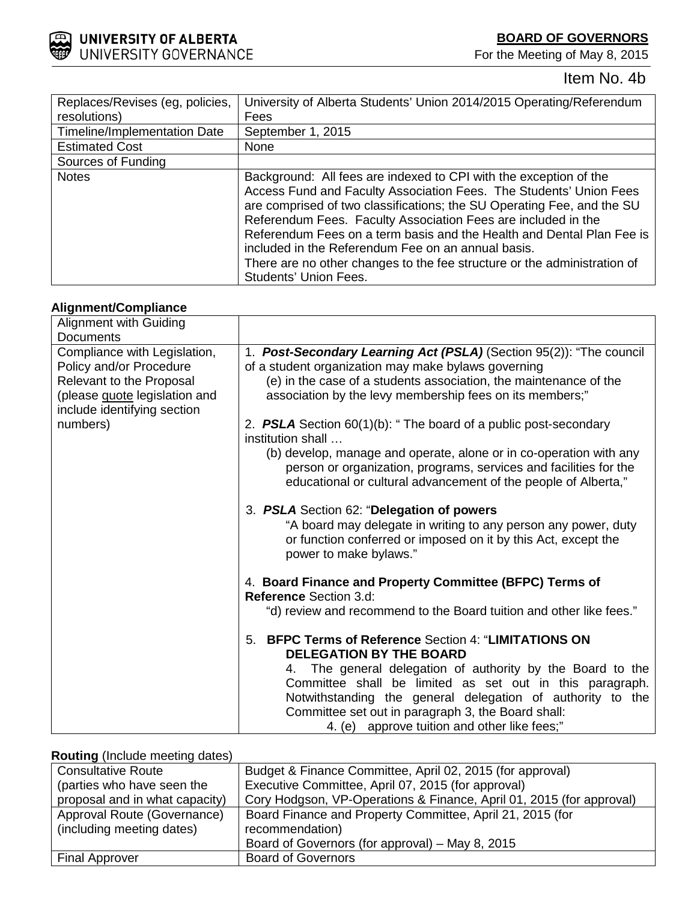**BOARD OF GOVERNORS**

For the Meeting of May 8, 2015



Item No. 4b

| Replaces/Revises (eg, policies,     | University of Alberta Students' Union 2014/2015 Operating/Referendum                                                                                                                                                                                                                                                                                                                                                                                                                                                   |
|-------------------------------------|------------------------------------------------------------------------------------------------------------------------------------------------------------------------------------------------------------------------------------------------------------------------------------------------------------------------------------------------------------------------------------------------------------------------------------------------------------------------------------------------------------------------|
| resolutions)                        | Fees                                                                                                                                                                                                                                                                                                                                                                                                                                                                                                                   |
| <b>Timeline/Implementation Date</b> | September 1, 2015                                                                                                                                                                                                                                                                                                                                                                                                                                                                                                      |
| <b>Estimated Cost</b>               | None                                                                                                                                                                                                                                                                                                                                                                                                                                                                                                                   |
| Sources of Funding                  |                                                                                                                                                                                                                                                                                                                                                                                                                                                                                                                        |
| <b>Notes</b>                        | Background: All fees are indexed to CPI with the exception of the<br>Access Fund and Faculty Association Fees. The Students' Union Fees<br>are comprised of two classifications; the SU Operating Fee, and the SU<br>Referendum Fees. Faculty Association Fees are included in the<br>Referendum Fees on a term basis and the Health and Dental Plan Fee is<br>included in the Referendum Fee on an annual basis.<br>There are no other changes to the fee structure or the administration of<br>Students' Union Fees. |

## **Alignment/Compliance**

| <b>Alignment with Guiding</b>                                                                                                                       |                                                                                                                                                                                                                                                                                                                                                                                                    |
|-----------------------------------------------------------------------------------------------------------------------------------------------------|----------------------------------------------------------------------------------------------------------------------------------------------------------------------------------------------------------------------------------------------------------------------------------------------------------------------------------------------------------------------------------------------------|
| <b>Documents</b>                                                                                                                                    |                                                                                                                                                                                                                                                                                                                                                                                                    |
| Compliance with Legislation,<br>Policy and/or Procedure<br>Relevant to the Proposal<br>(please quote legislation and<br>include identifying section | 1. Post-Secondary Learning Act (PSLA) (Section 95(2)): "The council<br>of a student organization may make bylaws governing<br>(e) in the case of a students association, the maintenance of the<br>association by the levy membership fees on its members;"                                                                                                                                        |
| numbers)                                                                                                                                            | 2. <b>PSLA</b> Section $60(1)(b)$ : "The board of a public post-secondary<br>institution shall                                                                                                                                                                                                                                                                                                     |
|                                                                                                                                                     | (b) develop, manage and operate, alone or in co-operation with any<br>person or organization, programs, services and facilities for the<br>educational or cultural advancement of the people of Alberta,"                                                                                                                                                                                          |
|                                                                                                                                                     | 3. PSLA Section 62: "Delegation of powers<br>"A board may delegate in writing to any person any power, duty<br>or function conferred or imposed on it by this Act, except the<br>power to make bylaws."                                                                                                                                                                                            |
|                                                                                                                                                     | 4. Board Finance and Property Committee (BFPC) Terms of<br><b>Reference Section 3.d:</b>                                                                                                                                                                                                                                                                                                           |
|                                                                                                                                                     | "d) review and recommend to the Board tuition and other like fees."                                                                                                                                                                                                                                                                                                                                |
|                                                                                                                                                     | <b>BFPC Terms of Reference Section 4: "LIMITATIONS ON</b><br>5.<br><b>DELEGATION BY THE BOARD</b><br>The general delegation of authority by the Board to the<br>4.<br>Committee shall be limited as set out in this paragraph.<br>Notwithstanding the general delegation of authority to the<br>Committee set out in paragraph 3, the Board shall:<br>4. (e) approve tuition and other like fees;" |

### **Routing** (Include meeting dates)

| <b>Consultative Route</b>      | Budget & Finance Committee, April 02, 2015 (for approval)            |  |
|--------------------------------|----------------------------------------------------------------------|--|
| (parties who have seen the     | Executive Committee, April 07, 2015 (for approval)                   |  |
| proposal and in what capacity) | Cory Hodgson, VP-Operations & Finance, April 01, 2015 (for approval) |  |
| Approval Route (Governance)    | Board Finance and Property Committee, April 21, 2015 (for            |  |
| (including meeting dates)      | recommendation)                                                      |  |
|                                | Board of Governors (for approval) – May 8, 2015                      |  |
| <b>Final Approver</b>          | <b>Board of Governors</b>                                            |  |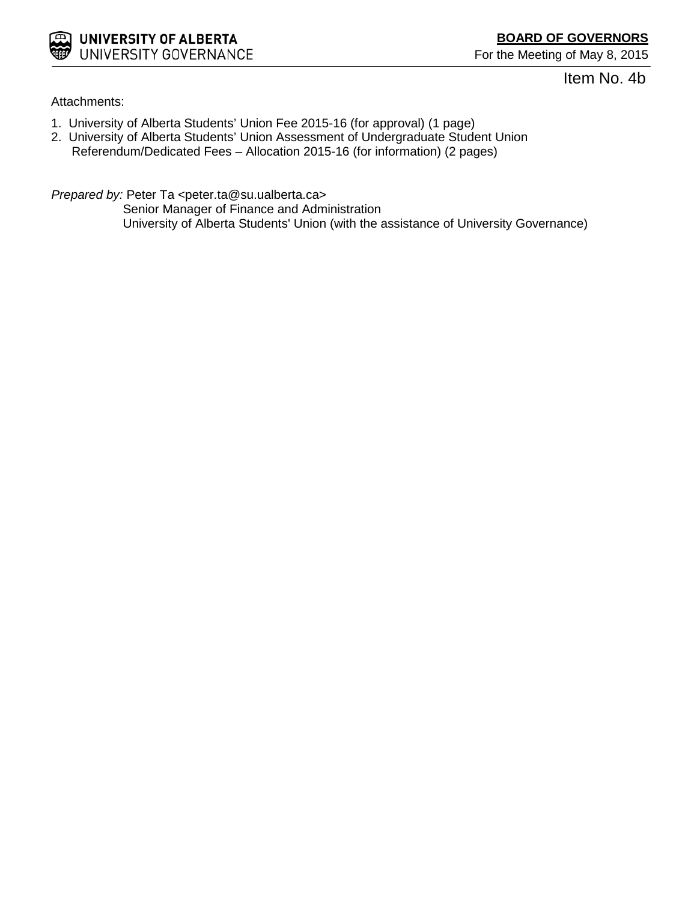

Item No. 4b

Attachments:

- 1. University of Alberta Students' Union Fee 2015-16 (for approval) (1 page)
- 2. University of Alberta Students' Union Assessment of Undergraduate Student Union Referendum/Dedicated Fees – Allocation 2015-16 (for information) (2 pages)

*Prepared by:* Peter Ta <peter.ta@su.ualberta.ca>

Senior Manager of Finance and Administration University of Alberta Students' Union (with the assistance of University Governance)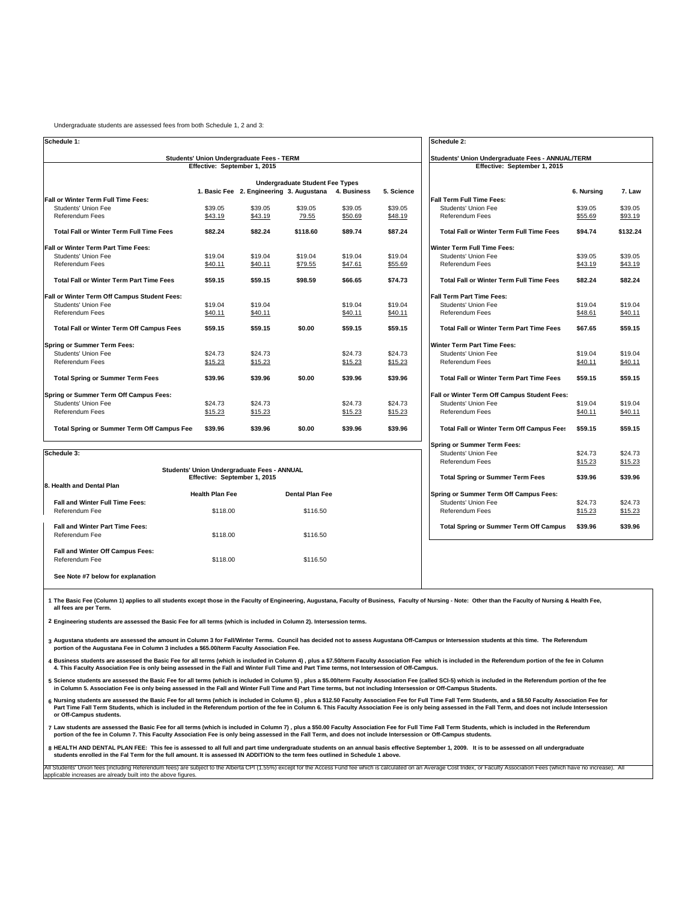| Undergraduate students are assessed fees from both Schedule 1, 2 and 3: |  |
|-------------------------------------------------------------------------|--|
|-------------------------------------------------------------------------|--|

All Students' Union fees (including Referendum fees) are subject to the Alberta CPI (1.55%) except for the Access Fund fee which is calculated on an Average Cost Index, or Faculty Association Fees (which have no increase). applicable increases are already built into the above figures.

| Schedule 1:                                                                      |                              | Schedule 2:                                        |                                        |             |            |                                                                                         |            |          |  |  |
|----------------------------------------------------------------------------------|------------------------------|----------------------------------------------------|----------------------------------------|-------------|------------|-----------------------------------------------------------------------------------------|------------|----------|--|--|
| <b>Students' Union Undergraduate Fees - TERM</b><br>Effective: September 1, 2015 |                              |                                                    |                                        |             |            | <b>Students' Union Undergraduate Fees - ANNUAL/TERM</b><br>Effective: September 1, 2015 |            |          |  |  |
|                                                                                  |                              |                                                    |                                        |             |            |                                                                                         |            |          |  |  |
|                                                                                  |                              |                                                    | <b>Undergraduate Student Fee Types</b> |             |            |                                                                                         |            |          |  |  |
|                                                                                  |                              | 1. Basic Fee 2. Engineering 3. Augustana           |                                        | 4. Business | 5. Science |                                                                                         | 6. Nursing | 7. Law   |  |  |
| <b>Fall or Winter Term Full Time Fees:</b>                                       |                              |                                                    |                                        |             |            | <b>Fall Term Full Time Fees:</b>                                                        |            |          |  |  |
| <b>Students' Union Fee</b>                                                       | \$39.05                      | \$39.05                                            | \$39.05                                | \$39.05     | \$39.05    | <b>Students' Union Fee</b>                                                              | \$39.05    | \$39.05  |  |  |
| <b>Referendum Fees</b>                                                           | \$43.19                      | \$43.19                                            | 79.55                                  | \$50.69     | \$48.19    | <b>Referendum Fees</b>                                                                  | \$55.69    | \$93.19  |  |  |
| <b>Total Fall or Winter Term Full Time Fees</b>                                  | \$82.24                      | \$82.24                                            | \$118.60                               | \$89.74     | \$87.24    | <b>Total Fall or Winter Term Full Time Fees</b>                                         | \$94.74    | \$132.24 |  |  |
| <b>Fall or Winter Term Part Time Fees:</b>                                       |                              |                                                    |                                        |             |            | <b>Winter Term Full Time Fees:</b>                                                      |            |          |  |  |
| <b>Students' Union Fee</b>                                                       | \$19.04                      | \$19.04                                            | \$19.04                                | \$19.04     | \$19.04    | <b>Students' Union Fee</b>                                                              | \$39.05    | \$39.05  |  |  |
| <b>Referendum Fees</b>                                                           | \$40.11                      | \$40.11                                            | \$79.55                                | \$47.61     | \$55.69    | <b>Referendum Fees</b>                                                                  | \$43.19    | \$43.19  |  |  |
| <b>Total Fall or Winter Term Part Time Fees</b>                                  | \$59.15                      | \$59.15                                            | \$98.59                                | \$66.65     | \$74.73    | <b>Total Fall or Winter Term Full Time Fees</b>                                         | \$82.24    | \$82.24  |  |  |
| <b>Fall or Winter Term Off Campus Student Fees:</b>                              |                              |                                                    |                                        |             |            | <b>Fall Term Part Time Fees:</b>                                                        |            |          |  |  |
| <b>Students' Union Fee</b>                                                       | \$19.04                      | \$19.04                                            |                                        | \$19.04     | \$19.04    | <b>Students' Union Fee</b>                                                              | \$19.04    | \$19.04  |  |  |
| <b>Referendum Fees</b>                                                           | \$40.11                      | \$40.11                                            |                                        | \$40.11     | \$40.11    | <b>Referendum Fees</b>                                                                  | \$48.61    | \$40.11  |  |  |
| <b>Total Fall or Winter Term Off Campus Fees</b>                                 | \$59.15                      | \$59.15                                            | \$0.00                                 | \$59.15     | \$59.15    | <b>Total Fall or Winter Term Part Time Fees</b>                                         | \$67.65    | \$59.15  |  |  |
| <b>Spring or Summer Term Fees:</b>                                               |                              |                                                    |                                        |             |            | <b>Winter Term Part Time Fees:</b>                                                      |            |          |  |  |
| <b>Students' Union Fee</b>                                                       | \$24.73                      | \$24.73                                            |                                        | \$24.73     | \$24.73    | <b>Students' Union Fee</b>                                                              | \$19.04    | \$19.04  |  |  |
| <b>Referendum Fees</b>                                                           | \$15.23                      | \$15.23                                            |                                        | \$15.23     | \$15.23    | <b>Referendum Fees</b>                                                                  | \$40.11    | \$40.11  |  |  |
| <b>Total Spring or Summer Term Fees</b>                                          | \$39.96                      | \$39.96                                            | \$0.00                                 | \$39.96     | \$39.96    | <b>Total Fall or Winter Term Part Time Fees</b>                                         | \$59.15    | \$59.15  |  |  |
| <b>Spring or Summer Term Off Campus Fees:</b>                                    |                              |                                                    |                                        |             |            | <b>Fall or Winter Term Off Campus Student Fees:</b>                                     |            |          |  |  |
| <b>Students' Union Fee</b>                                                       | \$24.73                      | \$24.73                                            |                                        | \$24.73     | \$24.73    | <b>Students' Union Fee</b>                                                              | \$19.04    | \$19.04  |  |  |
| <b>Referendum Fees</b>                                                           | \$15.23                      | \$15.23                                            |                                        | \$15.23     | \$15.23    | <b>Referendum Fees</b>                                                                  | \$40.11    | \$40.11  |  |  |
| <b>Total Spring or Summer Term Off Campus Fee</b>                                | \$39.96                      | \$39.96                                            | \$0.00                                 | \$39.96     | \$39.96    | <b>Total Fall or Winter Term Off Campus Fees</b>                                        | \$59.15    | \$59.15  |  |  |
|                                                                                  |                              |                                                    |                                        |             |            | <b>Spring or Summer Term Fees:</b>                                                      |            |          |  |  |
| Schedule 3:                                                                      |                              |                                                    |                                        |             |            | <b>Students' Union Fee</b>                                                              | \$24.73    | \$24.73  |  |  |
|                                                                                  |                              |                                                    |                                        |             |            | <b>Referendum Fees</b>                                                                  | \$15.23    | \$15.23  |  |  |
|                                                                                  | Effective: September 1, 2015 | <b>Students' Union Undergraduate Fees - ANNUAL</b> |                                        |             |            | <b>Total Spring or Summer Term Fees</b>                                                 | \$39.96    | \$39.96  |  |  |
| 8. Health and Dental Plan                                                        |                              |                                                    |                                        |             |            |                                                                                         |            |          |  |  |
|                                                                                  | <b>Health Plan Fee</b>       |                                                    | <b>Dental Plan Fee</b>                 |             |            | <b>Spring or Summer Term Off Campus Fees:</b>                                           |            |          |  |  |
| <b>Fall and Winter Full Time Fees:</b>                                           |                              |                                                    |                                        |             |            | <b>Students' Union Fee</b>                                                              | \$24.73    | \$24.73  |  |  |
| Referendum Fee                                                                   | \$118.00                     |                                                    | \$116.50                               |             |            | Referendum Fees                                                                         | \$15.23    | \$15.23  |  |  |

| <u>INGIQIQINUMIII I GC</u>                                | $V \cup V$ | $V1U1U2U$ | <b>IVALGIQUUMULI CCO</b>                      | <u> ب ے.ب رب</u> | <u> ب.ب. پ</u> |
|-----------------------------------------------------------|------------|-----------|-----------------------------------------------|------------------|----------------|
| <b>Fall and Winter Part Time Fees:</b><br>Referendum Fee  | \$118.00   | \$116.50  | <b>Total Spring or Summer Term Off Campus</b> | \$39.96          | \$39.96        |
| <b>Fall and Winter Off Campus Fees:</b><br>Referendum Fee | \$118.00   | \$116.50  |                                               |                  |                |
| See Note #7 below for explanation                         |            |           |                                               |                  |                |

- **3 Augustana students are assessed the amount in Column 3 for Fall/Winter Terms. Council has decided not to assess Augustana Off-Campus or Intersession students at this time. The Referendum portion of the Augustana Fee in Column 3 includes a \$65.00/term Faculty Association Fee.**
- **4 Business students are assessed the Basic Fee for all terms (which is included in Column 4) , plus a \$7.50/term Faculty Association Fee which is included in the Referendum portion of the fee in Column 4. This Faculty Association Fee is only being assessed in the Fall and Winter Full Time and Part Time terms, not Intersession of Off-Campus.**
- **5 Science students are assessed the Basic Fee for all terms (which is included in Column 5) , plus a \$5.00/term Faculty Association Fee (called SCI-5) which is included in the Referendum portion of the fee in Column 5. Association Fee is only being assessed in the Fall and Winter Full Time and Part Time terms, but not including Intersession or Off-Campus Students.**
- **6 Nursing students are assessed the Basic Fee for all terms (which is included in Column 6) , plus a \$12.50 Faculty Association Fee for Full Time Fall Term Students, and a \$8.50 Faculty Association Fee for**  Part Time Fall Term Students, which is included in the Referendum portion of the fee in Column 6. This Faculty Association Fee is only being assessed in the Fall Term, and does not include Intersession **or Off-Campus students.**
- **7 Law students are assessed the Basic Fee for all terms (which is included in Column 7) , plus a \$50.00 Faculty Association Fee for Full Time Fall Term Students, which is included in the Referendum portion of the fee in Column 7. This Faculty Association Fee is only being assessed in the Fall Term, and does not include Intersession or Off-Campus students.**
- **8 HEALTH AND DENTAL PLAN FEE: This fee is assessed to all full and part time undergraduate students on an annual basis effective September 1, 2009. It is to be assessed on all undergraduate students enrolled in the Fal Term for the full amount. It is assessed IN ADDITION to the term fees outlined in Schedule 1 above.**

**1 The Basic Fee (Column 1) applies to all students except those in the Faculty of Engineering, Augustana, Faculty of Business, Faculty of Nursing - Note: Other than the Faculty of Nursing & Health Fee, all fees are per Term.**

**2 Engineering students are assessed the Basic Fee for all terms (which is included in Column 2). Intersession terms.**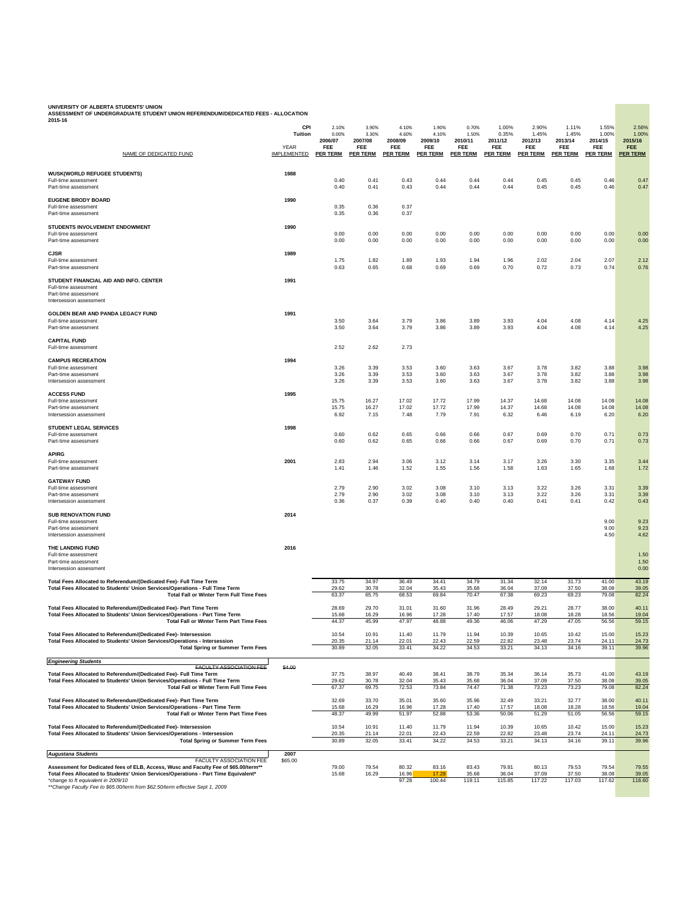**ASSESSMENT OF UNDERGRADUATE STUDENT UNION REFERENDUM/DEDICATED FEES - ALLOCATION 2015-16**

| NAME OF DEDICATED FUND                                                                                                                                                                                                                  | <b>CPI</b><br><b>Tuition</b><br><b>YEAR</b><br><b>IMPLEMENTED</b> | 2.10%<br>0.00%<br>2006/07<br><b>FEE</b><br><b>PER TERM</b> | 3.90%<br>3.30%<br>2007/08<br><b>FEE</b><br><b>PER TERM</b> | 4.10%<br>4.60%<br>2008/09<br><b>FEE</b><br><b>PER TERM</b> | 1.90%<br>4.10%<br>2009/10<br><b>FEE</b><br><b>PER TERM</b> | 0.70%<br>1.50%<br>2010/11<br><b>FEE</b><br><b>PER TERM</b> | 1.00%<br>0.35%<br>2011/12<br><b>FEE</b><br><b>PER TERM</b> | 2.90%<br>1.45%<br>2012/13<br><b>FEE</b><br><b>PER TERM</b> | 1.11%<br>1.45%<br>2013/14<br><b>FEE</b><br><b>PER TERM</b> | 1.55%<br>1.00%<br>2014/15<br><b>FEE</b><br><b>PER TERM</b> | 2.56%<br>1.00%<br>2015/16<br><b>FEE</b><br><b>PER TERM</b> |
|-----------------------------------------------------------------------------------------------------------------------------------------------------------------------------------------------------------------------------------------|-------------------------------------------------------------------|------------------------------------------------------------|------------------------------------------------------------|------------------------------------------------------------|------------------------------------------------------------|------------------------------------------------------------|------------------------------------------------------------|------------------------------------------------------------|------------------------------------------------------------|------------------------------------------------------------|------------------------------------------------------------|
|                                                                                                                                                                                                                                         |                                                                   |                                                            |                                                            |                                                            |                                                            |                                                            |                                                            |                                                            |                                                            |                                                            |                                                            |
| <b>WUSK(WORLD REFUGEE STUDENTS)</b><br>Full-time assessment<br>Part-time assessment                                                                                                                                                     | 1988                                                              | 0.40<br>0.40                                               | 0.41<br>0.41                                               | 0.43<br>0.43                                               | 0.44<br>0.44                                               | 0.44<br>0.44                                               | 0.44<br>0.44                                               | 0.45<br>0.45                                               | 0.45<br>0.45                                               | 0.46<br>0.46                                               | 0.47<br>0.47                                               |
| <b>EUGENE BRODY BOARD</b><br>Full-time assessment<br>Part-time assessment                                                                                                                                                               | 1990                                                              | 0.35<br>0.35                                               | 0.36<br>0.36                                               | 0.37<br>0.37                                               |                                                            |                                                            |                                                            |                                                            |                                                            |                                                            |                                                            |
| <b>STUDENTS INVOLVEMENT ENDOWMENT</b><br>Full-time assessment<br>Part-time assessment                                                                                                                                                   | 1990                                                              | 0.00<br>0.00                                               | 0.00<br>0.00                                               | 0.00<br>0.00                                               | 0.00<br>0.00                                               | 0.00<br>0.00                                               | 0.00<br>0.00                                               | 0.00<br>0.00                                               | 0.00<br>0.00                                               | 0.00<br>0.00                                               | 0.00<br>0.00                                               |
| <b>CJSR</b><br>Full-time assessment<br>Part-time assessment                                                                                                                                                                             | 1989                                                              | 1.75<br>0.63                                               | 1.82<br>0.65                                               | 1.89<br>0.68                                               | 1.93<br>0.69                                               | 1.94<br>0.69                                               | 1.96<br>0.70                                               | 2.02<br>0.72                                               | 2.04<br>0.73                                               | 2.07<br>0.74                                               | 2.12<br>0.76                                               |
| STUDENT FINANCIAL AID AND INFO. CENTER<br>Full-time assessment<br>Part-time assessment<br>Intersession assessment                                                                                                                       | 1991                                                              |                                                            |                                                            |                                                            |                                                            |                                                            |                                                            |                                                            |                                                            |                                                            |                                                            |
| <b>GOLDEN BEAR AND PANDA LEGACY FUND</b><br>Full-time assessment<br>Part-time assessment                                                                                                                                                | 1991                                                              | 3.50<br>3.50                                               | 3.64<br>3.64                                               | 3.79<br>3.79                                               | 3.86<br>3.86                                               | 3.89<br>3.89                                               | 3.93<br>3.93                                               | 4.04<br>4.04                                               | 4.08<br>4.08                                               | 4.14<br>4.14                                               | 4.25<br>4.25                                               |
| <b>CAPITAL FUND</b><br>Full-time assessment                                                                                                                                                                                             |                                                                   | 2.52                                                       | 2.62                                                       | 2.73                                                       |                                                            |                                                            |                                                            |                                                            |                                                            |                                                            |                                                            |
| <b>CAMPUS RECREATION</b><br>Full-time assessment<br>Part-time assessment<br>Intersession assessment                                                                                                                                     | 1994                                                              | 3.26<br>3.26<br>3.26                                       | 3.39<br>3.39<br>3.39                                       | 3.53<br>3.53<br>3.53                                       | 3.60<br>3.60<br>3.60                                       | 3.63<br>3.63<br>3.63                                       | 3.67<br>3.67<br>3.67                                       | 3.78<br>3.78<br>3.78                                       | 3.82<br>3.82<br>3.82                                       | 3.88<br>3.88<br>3.88                                       | 3.98<br>3.98<br>3.98                                       |
| <b>ACCESS FUND</b><br>Full-time assessment<br>Part-time assessment<br>Intersession assessment                                                                                                                                           | 1995                                                              | 15.75<br>15.75<br>6.92                                     | 16.27<br>16.27<br>7.15                                     | 17.02<br>17.02<br>7.48                                     | 17.72<br>17.72<br>7.79                                     | 17.99<br>17.99<br>7.91                                     | 14.37<br>14.37<br>6.32                                     | 14.68<br>14.68<br>6.46                                     | 14.08<br>14.08<br>6.19                                     | 14.08<br>14.08<br>6.20                                     | 14.08<br>14.08<br>6.20                                     |
| <b>STUDENT LEGAL SERVICES</b><br>Full-time assessment<br>Part-time assessment                                                                                                                                                           | 1998                                                              | 0.60<br>0.60                                               | 0.62<br>0.62                                               | 0.65<br>0.65                                               | 0.66<br>0.66                                               | 0.66<br>0.66                                               | 0.67<br>0.67                                               | 0.69<br>0.69                                               | 0.70<br>0.70                                               | 0.71<br>0.71                                               | 0.73<br>0.73                                               |
| <b>APIRG</b><br>Full-time assessment<br>Part-time assessment                                                                                                                                                                            | 2001                                                              | 2.83<br>1.41                                               | 2.94<br>1.46                                               | 3.06<br>1.52                                               | 3.12<br>1.55                                               | 3.14<br>1.56                                               | 3.17<br>1.58                                               | 3.26<br>1.63                                               | 3.30<br>1.65                                               | 3.35<br>1.68                                               | 3.44<br>1.72                                               |
| <b>GATEWAY FUND</b><br>Full-time assessment<br>Part-time assessment<br>Intersession assessment                                                                                                                                          |                                                                   | 2.79<br>2.79<br>0.36                                       | 2.90<br>2.90<br>0.37                                       | 3.02<br>3.02<br>0.39                                       | 3.08<br>3.08<br>0.40                                       | 3.10<br>3.10<br>0.40                                       | 3.13<br>3.13<br>0.40                                       | 3.22<br>3.22<br>0.41                                       | 3.26<br>3.26<br>0.41                                       | 3.31<br>3.31<br>0.42                                       | 3.39<br>3.39<br>0.43                                       |
| <b>SUB RENOVATION FUND</b><br>Full-time assessment<br>Part-time assessment<br>Intersession assessment                                                                                                                                   | 2014                                                              |                                                            |                                                            |                                                            |                                                            |                                                            |                                                            |                                                            |                                                            | 9.00<br>9.00<br>4.50                                       | 9.23<br>9.23<br>4.62                                       |
| THE LANDING FUND<br>Full-time assessment<br>Part-time assessment<br>Intersession assessment                                                                                                                                             | 2016                                                              |                                                            |                                                            |                                                            |                                                            |                                                            |                                                            |                                                            |                                                            |                                                            | 1.50<br>1.50<br>0.00                                       |
| Total Fees Allocated to Referendum/(Dedicated Fee)- Full Time Term<br>Total Fees Allocated to Students' Union Services/Operations - Full Time Term<br><b>Total Fall or Winter Term Full Time Fees</b>                                   |                                                                   | 33.75<br>29.62<br>63.37                                    | 34.97<br>30.78<br>65.75                                    | 36.49<br>32.04<br>68.53                                    | 34.41<br>35.43<br>69.84                                    | 34.79<br>35.68<br>70.47                                    | 31.34<br>36.04<br>67.38                                    | 32.14<br>37.09<br>69.23                                    | 31.73<br>37.50<br>69.23                                    | 41.00<br>38.08<br>79.08                                    | 43.19<br>39.05<br>82.24                                    |
| Total Fees Allocated to Referendum/(Dedicated Fee)- Part Time Term<br>Total Fees Allocated to Students' Union Services/Operations - Part Time Term<br><b>Total Fall or Winter Term Part Time Fees</b>                                   |                                                                   | 28.69<br>15.68<br>44.37                                    | 29.70<br>16.29<br>45.99                                    | 31.01<br>16.96<br>47.97                                    | 31.60<br>17.28<br>48.88                                    | 31.96<br>17.40<br>49.36                                    | 28.49<br>17.57<br>46.06                                    | 29.21<br>18.08<br>47.29                                    | 28.77<br>18.28<br>47.05                                    | 38.00<br>18.56<br>56.56                                    | 40.11<br>19.04<br>59.15                                    |
| Total Fees Allocated to Referendum/(Dedicated Fee)- Intersession<br>Total Fees Allocated to Students' Union Services/Operations - Intersession<br><b>Total Spring or Summer Term Fees</b>                                               |                                                                   | 10.54<br>20.35<br>30.89                                    | 10.91<br>21.14<br>32.05                                    | 11.40<br>22.01<br>33.41                                    | 11.79<br>22.43<br>34.22                                    | 11.94<br>22.59<br>34.53                                    | 10.39<br>22.82<br>33.21                                    | 10.65<br>23.48<br>34.13                                    | 10.42<br>23.74<br>34.16                                    | 15.00<br>24.11<br>39.11                                    | 15.23<br>24.73<br>39.96                                    |
| <b>Engineering Students</b>                                                                                                                                                                                                             |                                                                   |                                                            |                                                            |                                                            |                                                            |                                                            |                                                            |                                                            |                                                            |                                                            |                                                            |
| <b>FACULTY ASSOCIATION FEE</b><br>Total Fees Allocated to Referendum/(Dedicated Fee)- Full Time Term<br>Total Fees Allocated to Students' Union Services/Operations - Full Time Term<br><b>Total Fall or Winter Term Full Time Fees</b> | \$4.00                                                            | 37.75<br>29.62<br>67.37                                    | 38.97<br>30.78<br>69.75                                    | 40.49<br>32.04<br>72.53                                    | 38.41<br>35.43<br>73.84                                    | 38.79<br>35.68<br>74.47                                    | 35.34<br>36.04<br>71.38                                    | 36.14<br>37.09<br>73.23                                    | 35.73<br>37.50<br>73.23                                    | 41.00<br>38.08<br>79.08                                    | 43.19<br>39.05<br>82.24                                    |
| Total Fees Allocated to Referendum/(Dedicated Fee)- Part Time Term<br>Total Fees Allocated to Students' Union Services/Operations - Part Time Term<br><b>Total Fall or Winter Term Part Time Fees</b>                                   |                                                                   | 32.69<br>15.68<br>48.37                                    | 33.70<br>16.29<br>49.99                                    | 35.01<br>16.96<br>51.97                                    | 35.60<br>17.28<br>52.88                                    | 35.96<br>17.40<br>53.36                                    | 32.49<br>17.57<br>50.06                                    | 33.21<br>18.08<br>51.29                                    | 32.77<br>18.28<br>51.05                                    | 38.00<br>18.56<br>56.56                                    | 40.11<br>19.04<br>59.15                                    |
| Total Fees Allocated to Referendum/(Dedicated Fee)- Intersession<br>Total Fees Allocated to Students' Union Services/Operations - Intersession<br><b>Total Spring or Summer Term Fees</b>                                               |                                                                   | 10.54<br>20.35<br>30.89                                    | 10.91<br>21.14<br>32.05                                    | 11.40<br>22.01<br>33.41                                    | 11.79<br>22.43<br>34.22                                    | 11.94<br>22.59<br>34.53                                    | 10.39<br>22.82<br>33.21                                    | 10.65<br>23.48<br>34.13                                    | 10.42<br>23.74<br>34.16                                    | 15.00<br>24.11<br>39.11                                    | 15.23<br>24.73<br>39.96                                    |
| Augustana Students                                                                                                                                                                                                                      | 2007                                                              |                                                            |                                                            |                                                            |                                                            |                                                            |                                                            |                                                            |                                                            |                                                            |                                                            |
| <b>FACULTY ASSOCIATION FEE</b><br>Assessment for Dedicated fees of ELB, Access, Wusc and Faculty Fee of \$65.00/term**<br>Total Fees Allocated to Students' Union Services/Operations - Part Time Equivalent*                           | \$65.00                                                           | 79.00<br>15.68                                             | 79.54<br>16.29                                             | 80.32<br>16.96                                             | 83.16<br>17.28                                             | 83.43<br>35.68                                             | 79.81<br>36.04                                             | 80.13<br>37.09                                             | 79.53<br>37.50                                             | 79.54<br>38.08                                             | 79.55<br>39.05                                             |

*\*change to ft equivalent in 2009/10* 97.28 100.44 119.11 115.85 117.22 117.03 117.62 118.60

*\*\*Change Faculty Fee to \$65.00/term from \$62.50/term effective Sept 1, 2009*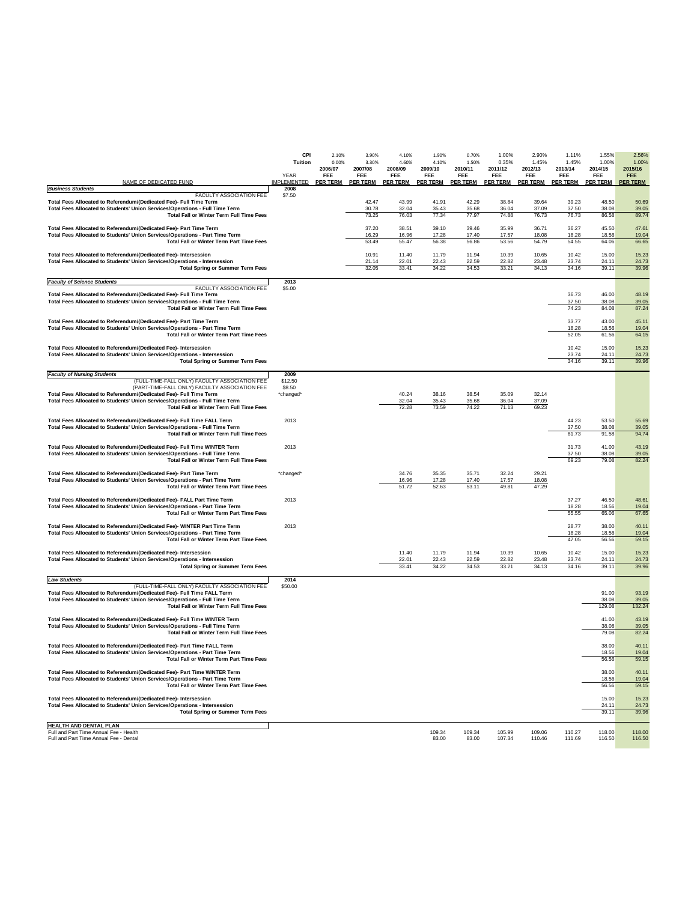|                                                                                                                                                           | <b>CPI</b><br><b>Tuition</b> | 2.10%<br>0.00%        | 3.90%<br>3.30%        | 4.10%<br>4.60%        | 1.90%<br>4.10%        | 0.70%<br>1.50%        | 1.00%<br>0.35%        | 2.90%<br>1.45%        | 1.11%<br>1.45%        | 1.55%<br>1.00%        | 2.56%<br>1.00%        |
|-----------------------------------------------------------------------------------------------------------------------------------------------------------|------------------------------|-----------------------|-----------------------|-----------------------|-----------------------|-----------------------|-----------------------|-----------------------|-----------------------|-----------------------|-----------------------|
|                                                                                                                                                           | <b>YEAR</b>                  | 2006/07<br><b>FEE</b> | 2007/08<br><b>FEE</b> | 2008/09<br><b>FEE</b> | 2009/10<br><b>FEE</b> | 2010/11<br><b>FEE</b> | 2011/12<br><b>FEE</b> | 2012/13<br><b>FEE</b> | 2013/14<br><b>FEE</b> | 2014/15<br><b>FEE</b> | 2015/16<br><b>FEE</b> |
| NAME OF DEDICATED FUND<br><b>Business Students</b>                                                                                                        | <b>IMPLEMENTED</b><br>2008   | <b>PER TERM</b>       | <b>PER TERM</b>       | <b>PER TERM</b>       | <b>PER TERM</b>       | <b>PER TERM</b>       | <b>PER TERM</b>       | <b>PER TERM</b>       | <b>PER TERM</b>       | <b>PER TERM</b>       | <b>PER TERM</b>       |
| FACULTY ASSOCIATION FEE<br>Total Fees Allocated to Referendum/(Dedicated Fee)- Full Time Term                                                             | \$7.50                       |                       | 42.47                 | 43.99                 | 41.91                 | 42.29                 | 38.84                 | 39.64                 | 39.23                 | 48.50                 | 50.69                 |
| Total Fees Allocated to Students' Union Services/Operations - Full Time Term<br><b>Total Fall or Winter Term Full Time Fees</b>                           |                              |                       | 30.78<br>73.25        | 32.04<br>76.03        | 35.43<br>77.34        | 35.68<br>77.97        | 36.04<br>74.88        | 37.09<br>76.73        | 37.50<br>76.73        | 38.08<br>86.58        | 39.05<br>89.74        |
|                                                                                                                                                           |                              |                       |                       |                       |                       |                       |                       |                       |                       |                       |                       |
| Total Fees Allocated to Referendum/(Dedicated Fee)- Part Time Term<br>Total Fees Allocated to Students' Union Services/Operations - Part Time Term        |                              |                       | 37.20<br>16.29        | 38.51<br>16.96        | 39.10<br>17.28        | 39.46<br>17.40        | 35.99<br>17.57        | 36.71<br>18.08        | 36.27<br>18.28        | 45.50<br>18.56        | 47.61<br>19.04        |
| <b>Total Fall or Winter Term Part Time Fees</b>                                                                                                           |                              |                       | 53.49                 | 55.47                 | 56.38                 | 56.86                 | 53.56                 | 54.79                 | 54.55                 | 64.06                 | 66.65                 |
| Total Fees Allocated to Referendum/(Dedicated Fee)- Intersession<br><b>Total Fees Allocated to Students' Union Services/Operations - Intersession</b>     |                              |                       | 10.91<br>21.14        | 11.40<br>22.01        | 11.79<br>22.43        | 11.94<br>22.59        | 10.39<br>22.82        | 10.65<br>23.48        | 10.42<br>23.74        | 15.00<br>24.11        | 15.23<br>24.73        |
| <b>Total Spring or Summer Term Fees</b>                                                                                                                   |                              |                       | 32.05                 | 33.41                 | 34.22                 | 34.53                 | 33.21                 | 34.13                 | 34.16                 | 39.11                 | 39.96                 |
| <b>Faculty of Science Students</b><br>FACULTY ASSOCIATION FEE                                                                                             | 2013                         |                       |                       |                       |                       |                       |                       |                       |                       |                       |                       |
| Total Fees Allocated to Referendum/(Dedicated Fee)- Full Time Term                                                                                        | \$5.00                       |                       |                       |                       |                       |                       |                       |                       | 36.73                 | 46.00                 | 48.19                 |
| Total Fees Allocated to Students' Union Services/Operations - Full Time Term<br><b>Total Fall or Winter Term Full Time Fees</b>                           |                              |                       |                       |                       |                       |                       |                       |                       | 37.50<br>74.23        | 38.08<br>84.08        | 39.05<br>87.24        |
| Total Fees Allocated to Referendum/(Dedicated Fee)- Part Time Term                                                                                        |                              |                       |                       |                       |                       |                       |                       |                       | 33.77                 | 43.00                 | 45.11                 |
| Total Fees Allocated to Students' Union Services/Operations - Part Time Term<br><b>Total Fall or Winter Term Part Time Fees</b>                           |                              |                       |                       |                       |                       |                       |                       |                       | 18.28<br>52.05        | 18.56<br>61.56        | 19.04<br>64.15        |
|                                                                                                                                                           |                              |                       |                       |                       |                       |                       |                       |                       | 10.42                 |                       |                       |
| Total Fees Allocated to Referendum/(Dedicated Fee)- Intersession<br>Total Fees Allocated to Students' Union Services/Operations - Intersession            |                              |                       |                       |                       |                       |                       |                       |                       | 23.74                 | 15.00<br>24.11        | 15.23<br>24.73        |
| <b>Total Spring or Summer Term Fees</b>                                                                                                                   |                              |                       |                       |                       |                       |                       |                       |                       | 34.16                 | 39.11                 | 39.96                 |
| <b>Faculty of Nursing Students</b><br>(FULL-TIME-FALL ONLY) FACULTY ASSOCIATION FEE                                                                       | 2009<br>\$12.50              |                       |                       |                       |                       |                       |                       |                       |                       |                       |                       |
| (PART-TIME-FALL ONLY) FACULTY ASSOCIATION FEE<br>Total Fees Allocated to Referendum/(Dedicated Fee)- Full Time Term                                       | \$8.50<br>*changed*          |                       |                       | 40.24                 | 38.16                 | 38.54                 | 35.09                 | 32.14                 |                       |                       |                       |
| Total Fees Allocated to Students' Union Services/Operations - Full Time Term<br><b>Total Fall or Winter Term Full Time Fees</b>                           |                              |                       |                       | 32.04<br>72.28        | 35.43<br>73.59        | 35.68<br>74.22        | 36.04<br>71.13        | 37.09<br>69.23        |                       |                       |                       |
|                                                                                                                                                           |                              |                       |                       |                       |                       |                       |                       |                       |                       |                       |                       |
| Total Fees Allocated to Referendum/(Dedicated Fee)- Full Time FALL Term<br>Total Fees Allocated to Students' Union Services/Operations - Full Time Term   | 2013                         |                       |                       |                       |                       |                       |                       |                       | 44.23<br>37.50        | 53.50<br>38.08        | 55.69<br>39.05        |
| <b>Total Fall or Winter Term Full Time Fees</b>                                                                                                           |                              |                       |                       |                       |                       |                       |                       |                       | 81.73                 | 91.58                 | 94.74                 |
| Total Fees Allocated to Referendum/(Dedicated Fee)- Full Time WINTER Term<br>Total Fees Allocated to Students' Union Services/Operations - Full Time Term | 2013                         |                       |                       |                       |                       |                       |                       |                       | 31.73<br>37.50        | 41.00<br>38.08        | 43.19<br>39.05        |
| <b>Total Fall or Winter Term Full Time Fees</b>                                                                                                           |                              |                       |                       |                       |                       |                       |                       |                       | 69.23                 | 79.08                 | 82.24                 |
| Total Fees Allocated to Referendum/(Dedicated Fee)- Part Time Term                                                                                        | *changed*                    |                       |                       | 34.76                 | 35.35                 | 35.71                 | 32.24                 | 29.21                 |                       |                       |                       |
| Total Fees Allocated to Students' Union Services/Operations - Part Time Term<br><b>Total Fall or Winter Term Part Time Fees</b>                           |                              |                       |                       | 16.96<br>51.72        | 17.28<br>52.63        | 17.40<br>53.11        | 17.57<br>49.81        | 18.08<br>47.29        |                       |                       |                       |
| Total Fees Allocated to Referendum/(Dedicated Fee)- FALL Part Time Term                                                                                   | 2013                         |                       |                       |                       |                       |                       |                       |                       | 37.27                 | 46.50                 | 48.61                 |
| Total Fees Allocated to Students' Union Services/Operations - Part Time Term<br><b>Total Fall or Winter Term Part Time Fees</b>                           |                              |                       |                       |                       |                       |                       |                       |                       | 18.28<br>55.55        | 18.56<br>65.06        | 19.04<br>67.65        |
| Total Fees Allocated to Referendum/(Dedicated Fee)- WINTER Part Time Term                                                                                 | 2013                         |                       |                       |                       |                       |                       |                       |                       | 28.77                 | 38.00                 | 40.11                 |
| Total Fees Allocated to Students' Union Services/Operations - Part Time Term<br><b>Total Fall or Winter Term Part Time Fees</b>                           |                              |                       |                       |                       |                       |                       |                       |                       | 18.28<br>47.05        | 18.56<br>56.56        | 19.04<br>59.15        |
| Total Fees Allocated to Referendum/(Dedicated Fee)- Intersession                                                                                          |                              |                       |                       | 11.40                 | 11.79                 | 11.94                 | 10.39                 | 10.65                 | 10.42                 | 15.00                 | 15.23                 |
| Total Fees Allocated to Students' Union Services/Operations - Intersession                                                                                |                              |                       |                       | 22.01                 | 22.43                 | 22.59                 | 22.82                 | 23.48                 | 23.74                 | 24.11                 | 24.73                 |
| <b>Total Spring or Summer Term Fees</b>                                                                                                                   |                              |                       |                       | 33.41                 | 34.22                 | 34.53                 | 33.21                 | 34.13                 | 34.16                 | 39.11                 | 39.96                 |
| Law Students<br>(FULL-TIME-FALL ONLY) FACULTY ASSOCIATION FEE                                                                                             | 2014<br>\$50.00              |                       |                       |                       |                       |                       |                       |                       |                       |                       |                       |
| Total Fees Allocated to Referendum/(Dedicated Fee)- Full Time FALL Term<br>Total Fees Allocated to Students' Union Services/Operations - Full Time Term   |                              |                       |                       |                       |                       |                       |                       |                       |                       | 91.00<br>38.08        | 93.19<br>39.05        |
| <b>Total Fall or Winter Term Full Time Fees</b>                                                                                                           |                              |                       |                       |                       |                       |                       |                       |                       |                       | 129.08                | 132.24                |
| Total Fees Allocated to Referendum/(Dedicated Fee)- Full Time WINTER Term<br>Total Fees Allocated to Students' Union Services/Operations - Full Time Term |                              |                       |                       |                       |                       |                       |                       |                       |                       | 41.00<br>38.08        | 43.19<br>39.05        |
| <b>Total Fall or Winter Term Full Time Fees</b>                                                                                                           |                              |                       |                       |                       |                       |                       |                       |                       |                       | 79.08                 | 82.24                 |
| Total Fees Allocated to Referendum/(Dedicated Fee)- Part Time FALL Term                                                                                   |                              |                       |                       |                       |                       |                       |                       |                       |                       | 38.00                 | 40.11                 |
| Total Fees Allocated to Students' Union Services/Operations - Part Time Term<br><b>Total Fall or Winter Term Part Time Fees</b>                           |                              |                       |                       |                       |                       |                       |                       |                       |                       | 18.56<br>56.56        | 19.04<br>59.15        |
| Total Fees Allocated to Referendum/(Dedicated Fee)- Part Time WINTER Term                                                                                 |                              |                       |                       |                       |                       |                       |                       |                       |                       | 38.00                 | 40.11                 |
| Total Fees Allocated to Students' Union Services/Operations - Part Time Term<br><b>Total Fall or Winter Term Part Time Fees</b>                           |                              |                       |                       |                       |                       |                       |                       |                       |                       | 18.56<br>56.56        | 19.04<br>59.15        |
|                                                                                                                                                           |                              |                       |                       |                       |                       |                       |                       |                       |                       |                       |                       |
| Total Fees Allocated to Referendum/(Dedicated Fee)- Intersession<br>Total Fees Allocated to Students' Union Services/Operations - Intersession            |                              |                       |                       |                       |                       |                       |                       |                       |                       | 15.00<br>24.11        | 15.23<br>24.73        |
| <b>Total Spring or Summer Term Fees</b>                                                                                                                   |                              |                       |                       |                       |                       |                       |                       |                       |                       | 39.11                 | 39.96                 |
| <b>HEALTH AND DENTAL PLAN</b><br>Full and Part Time Annual Fee - Health                                                                                   |                              |                       |                       |                       | 109.34                | 109.34                | 105.99                | 109.06                | 110.27                | 118.00                | 118.00                |
| Full and Part Time Annual Fee - Dental                                                                                                                    |                              |                       |                       |                       | 83.00                 | 83.00                 | 107.34                | 110.46                | 111.69                | 116.50                | 116.50                |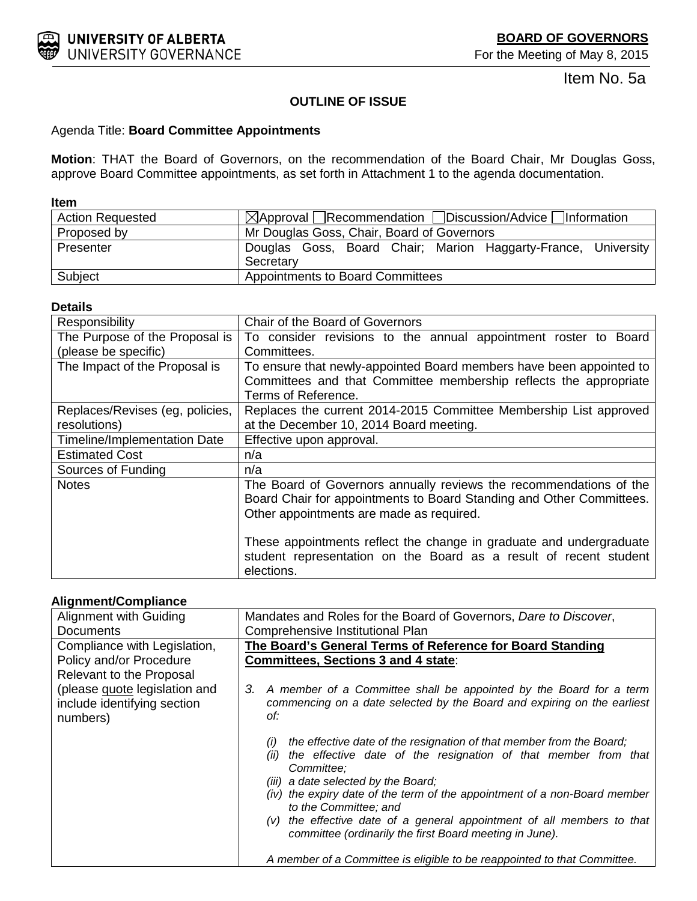<span id="page-12-0"></span>

Item No. 5a

## **OUTLINE OF ISSUE**

### Agenda Title: **Board Committee Appointments**

**Motion**: THAT the Board of Governors, on the recommendation of the Board Chair, Mr Douglas Goss, approve Board Committee appointments, as set forth in Attachment 1 to the agenda documentation.

### **Item**

| <b>Action Requested</b> | $\boxtimes$ Approval Recommendation Discussion/Advice Information          |  |  |  |  |  |
|-------------------------|----------------------------------------------------------------------------|--|--|--|--|--|
| Proposed by             | Mr Douglas Goss, Chair, Board of Governors                                 |  |  |  |  |  |
| Presenter               | Douglas Goss, Board Chair; Marion Haggarty-France, University<br>Secretary |  |  |  |  |  |
| Subject                 | Appointments to Board Committees                                           |  |  |  |  |  |

### **Details**

| Responsibility                  | Chair of the Board of Governors                                                                                                                                                        |
|---------------------------------|----------------------------------------------------------------------------------------------------------------------------------------------------------------------------------------|
| The Purpose of the Proposal is  | To consider revisions to the annual appointment roster to Board                                                                                                                        |
| (please be specific)            | Committees.                                                                                                                                                                            |
| The Impact of the Proposal is   | To ensure that newly-appointed Board members have been appointed to<br>Committees and that Committee membership reflects the appropriate<br>Terms of Reference.                        |
| Replaces/Revises (eg, policies, | Replaces the current 2014-2015 Committee Membership List approved                                                                                                                      |
| resolutions)                    | at the December 10, 2014 Board meeting.                                                                                                                                                |
| Timeline/Implementation Date    | Effective upon approval.                                                                                                                                                               |
| <b>Estimated Cost</b>           | n/a                                                                                                                                                                                    |
| Sources of Funding              | n/a                                                                                                                                                                                    |
| <b>Notes</b>                    | The Board of Governors annually reviews the recommendations of the<br>Board Chair for appointments to Board Standing and Other Committees.<br>Other appointments are made as required. |
|                                 | These appointments reflect the change in graduate and undergraduate<br>student representation on the Board as a result of recent student<br>elections.                                 |

### **Alignment/Compliance**

| Alignment with Guiding                                                   | Mandates and Roles for the Board of Governors, Dare to Discover,                                                                                                                                                                                                                                                                                                                                                                                        |
|--------------------------------------------------------------------------|---------------------------------------------------------------------------------------------------------------------------------------------------------------------------------------------------------------------------------------------------------------------------------------------------------------------------------------------------------------------------------------------------------------------------------------------------------|
| Documents                                                                | Comprehensive Institutional Plan                                                                                                                                                                                                                                                                                                                                                                                                                        |
| Compliance with Legislation,                                             | The Board's General Terms of Reference for Board Standing                                                                                                                                                                                                                                                                                                                                                                                               |
| Policy and/or Procedure                                                  | Committees, Sections 3 and 4 state:                                                                                                                                                                                                                                                                                                                                                                                                                     |
| Relevant to the Proposal                                                 |                                                                                                                                                                                                                                                                                                                                                                                                                                                         |
| (please guote legislation and<br>include identifying section<br>numbers) | 3. A member of a Committee shall be appointed by the Board for a term<br>commencing on a date selected by the Board and expiring on the earliest<br>of:                                                                                                                                                                                                                                                                                                 |
|                                                                          | the effective date of the resignation of that member from the Board;<br>(i)<br>the effective date of the resignation of that member from that<br>(ii)<br>Committee:<br>(iii) a date selected by the Board;<br>(iv) the expiry date of the term of the appointment of a non-Board member<br>to the Committee: and<br>$(v)$ the effective date of a general appointment of all members to that<br>committee (ordinarily the first Board meeting in June). |
|                                                                          | A member of a Committee is eligible to be reappointed to that Committee.                                                                                                                                                                                                                                                                                                                                                                                |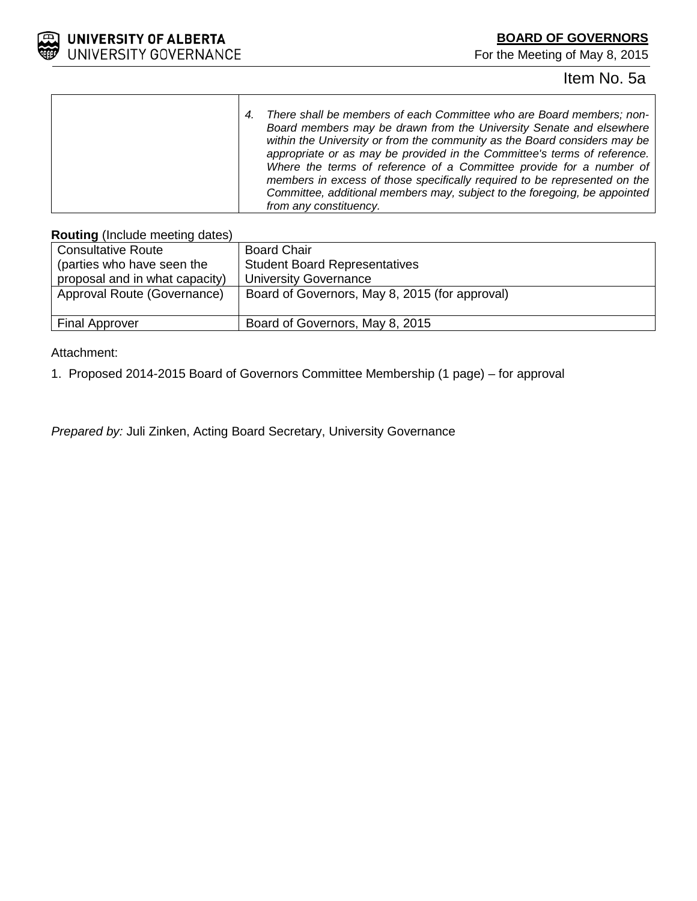

## Item No. 5a

*4. There shall be members of each Committee who are Board members; non-Board members may be drawn from the University Senate and elsewhere within the University or from the community as the Board considers may be appropriate or as may be provided in the Committee's terms of reference. Where the terms of reference of a Committee provide for a number of members in excess of those specifically required to be represented on the Committee, additional members may, subject to the foregoing, be appointed from any constituency.*

### **Routing** (Include meeting dates)

| <b>Consultative Route</b>      | <b>Board Chair</b>                             |
|--------------------------------|------------------------------------------------|
| (parties who have seen the     | <b>Student Board Representatives</b>           |
| proposal and in what capacity) | <b>University Governance</b>                   |
| Approval Route (Governance)    | Board of Governors, May 8, 2015 (for approval) |
|                                |                                                |
| <b>Final Approver</b>          | Board of Governors, May 8, 2015                |

Attachment:

1. Proposed 2014-2015 Board of Governors Committee Membership (1 page) – for approval

*Prepared by:* Juli Zinken, Acting Board Secretary, University Governance